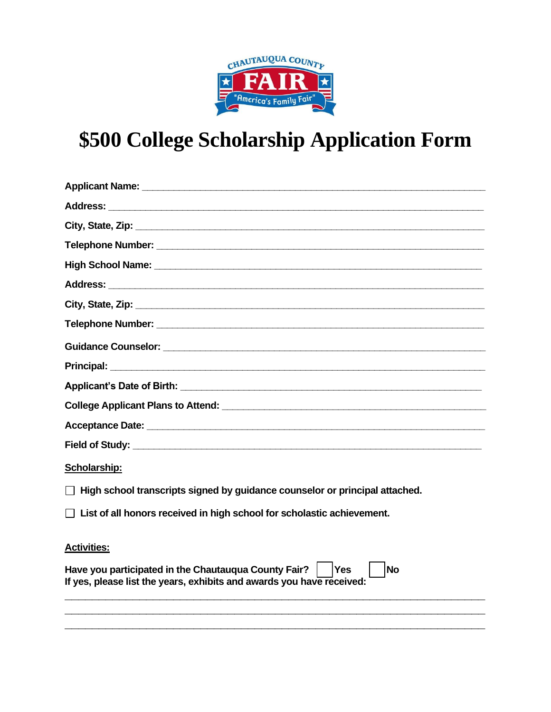

## **\$500 College Scholarship Application Form**

| Scholarship:                                                                                                                                      |
|---------------------------------------------------------------------------------------------------------------------------------------------------|
| $\Box$ High school transcripts signed by guidance counselor or principal attached.                                                                |
| $\Box$ List of all honors received in high school for scholastic achievement.                                                                     |
| <b>Activities:</b>                                                                                                                                |
| Have you participated in the Chautauqua County Fair?<br><b>No</b><br>Yes<br>If yes, please list the years, exhibits and awards you have received: |

**\_\_\_\_\_\_\_\_\_\_\_\_\_\_\_\_\_\_\_\_\_\_\_\_\_\_\_\_\_\_\_\_\_\_\_\_\_\_\_\_\_\_\_\_\_\_\_\_\_\_\_\_\_\_\_\_\_\_\_\_\_\_ \_\_\_\_\_\_\_\_\_\_\_\_\_\_\_\_\_\_\_\_\_\_\_\_\_\_\_\_\_\_\_\_\_\_\_\_\_\_\_\_\_\_\_\_\_\_\_\_\_\_\_\_\_\_\_\_\_\_\_\_\_\_**